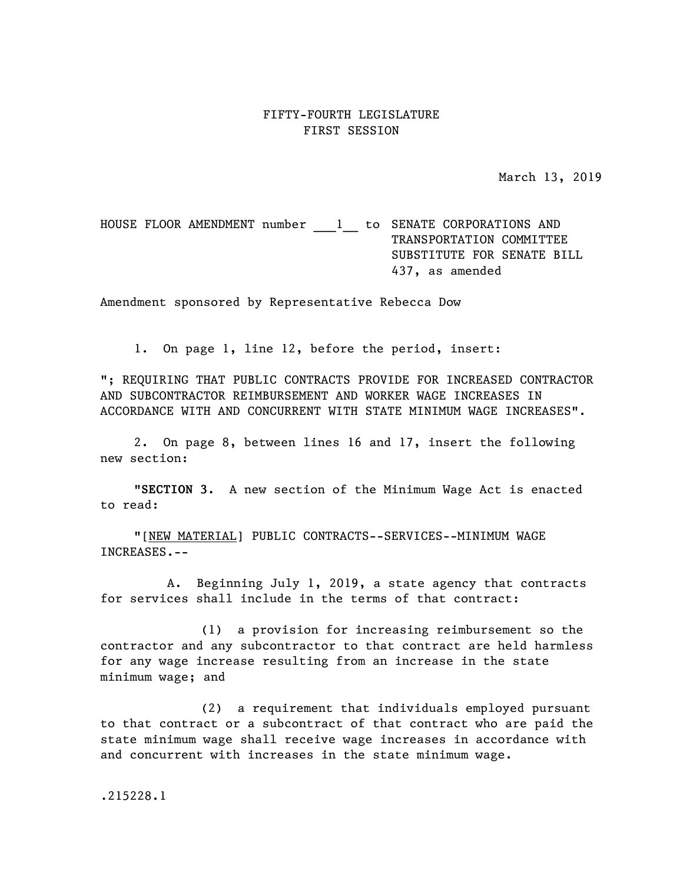## FIFTY-FOURTH LEGISLATURE FIRST SESSION

March 13, 2019

HOUSE FLOOR AMENDMENT number \_\_\_ 1 \_\_ to SENATE CORPORATIONS AND TRANSPORTATION COMMITTEE SUBSTITUTE FOR SENATE BILL 437, as amended

Amendment sponsored by Representative Rebecca Dow

1. On page 1, line 12, before the period, insert:

"; REQUIRING THAT PUBLIC CONTRACTS PROVIDE FOR INCREASED CONTRACTOR AND SUBCONTRACTOR REIMBURSEMENT AND WORKER WAGE INCREASES IN ACCORDANCE WITH AND CONCURRENT WITH STATE MINIMUM WAGE INCREASES".

2. On page 8, between lines 16 and 17, insert the following new section:

"**SECTION 3.** A new section of the Minimum Wage Act is enacted to read:

"[NEW MATERIAL] PUBLIC CONTRACTS--SERVICES--MINIMUM WAGE INCREASES.--

A. Beginning July 1, 2019, a state agency that contracts for services shall include in the terms of that contract:

(1) a provision for increasing reimbursement so the contractor and any subcontractor to that contract are held harmless for any wage increase resulting from an increase in the state minimum wage; and

(2) a requirement that individuals employed pursuant to that contract or a subcontract of that contract who are paid the state minimum wage shall receive wage increases in accordance with and concurrent with increases in the state minimum wage.

.215228.1